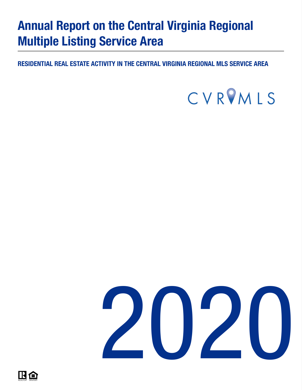# Annual Report on the Central Virginia Regional Multiple Listing Service Area

RESIDENTIAL REAL ESTATE ACTIVITY IN THE CENTRAL VIRGINIA REGIONAL MLS SERVICE AREA



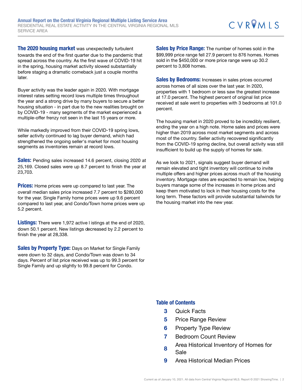The 2020 housing market was unexpectedly turbulent towards the end of the first quarter due to the pandemic that spread across the country. As the first wave of COVID-19 hit in the spring, housing market activity slowed substantially before staging a dramatic comeback just a couple months later.

Buyer activity was the leader again in 2020. With mortgage interest rates setting record lows multiple times throughout the year and a strong drive by many buyers to secure a better housing situation - in part due to the new realities brought on by COVID-19 - many segments of the market experienced a multiple-offer frenzy not seen in the last 15 years or more.

While markedly improved from their COVID-19 spring lows, seller activity continued to lag buyer demand, which had strengthened the ongoing seller's market for most housing segments as inventories remain at record lows.

Sales: Pending sales increased 14.6 percent, closing 2020 at 25,169. Closed sales were up 8.7 percent to finish the year at 23,703.

**Prices:** Home prices were up compared to last year. The overall median sales price increased 7.7 percent to \$280,000 for the year. Single Family home prices were up 9.6 percent compared to last year, and Condo/Town home prices were up 5.2 percent.

**Listings:** There were 1,972 active I istings at the end of 2020, down 50.1 percent. New listings decreased by 2.2 percent to finish the year at 28,338.

**Sales by Property Type:** Days on Market for Single Family were down to 32 days, and Condo/Town was down to 34 days. Percent of list price received was up to 99.3 percent for Single Family and up slightly to 99.8 percent for Condo.

Sales by Price Range: The number of homes sold in the \$99,999 price range fell 27.9 percent to 876 homes. Homes sold in the \$450,000 or more price range were up 30.2 percent to 3,808 homes.

Sales by Bedrooms: Increases in sales prices occurred across homes of all sizes over the last year. In 2020, properties with 1 bedroom or less saw the greatest increase at 17.0 percent. The highest percent of original list price received at sale went to properties with 3 bedrooms at 101.0 percent.

The housing market in 2020 proved to be incredibly resilient, ending the year on a high note. Home sales and prices were higher than 2019 across most market segments and across most of the country. Seller activity recovered significantly from the COVID-19 spring decline, but overall activity was still insufficient to build up the supply of homes for sale.

As we look to 2021, signals suggest buyer demand will remain elevated and tight inventory will continue to invite multiple offers and higher prices across much of the housing inventory. Mortgage rates are expected to remain low, helping buyers manage some of the increases in home prices and keep them motivated to lock in their housing costs for the long term. These factors will provide substantial tailwinds for the housing market into the new year.

#### Table of Contents

- 3 Quick Facts
- **5** Price Range Review
- **6** Property Type Review
- 7 Bedroom Count Review
- 8 Area Historical Inventory of Homes for Sale
- 9 Area Historical Median Prices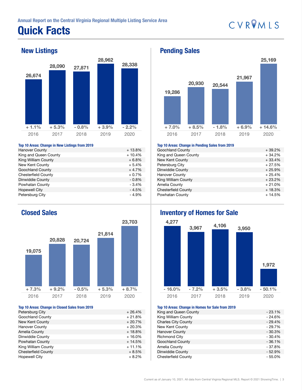## Quick Facts

## CVRPMLS

### New Listings



#### Top 10 Areas: Change in New Listings from 2019

| <b>Hanover County</b>      | $+13.8%$ |
|----------------------------|----------|
| King and Queen County      | $+10.4%$ |
| King William County        | $+6.8%$  |
| New Kent County            | $+5.4%$  |
| <b>Goochland County</b>    | $+4.7%$  |
| <b>Chesterfield County</b> | $+0.7%$  |
| Dinwiddie County           | $-0.8%$  |
| Powhatan County            | $-3.4%$  |
| <b>Hopewell City</b>       | $-4.5%$  |
| Petersburg City            | - 4.9%   |

### Closed Sales



#### Top 10 Areas: Change in Closed Sales from 2019

| Petersburg City            | $+26.4%$ |
|----------------------------|----------|
| <b>Goochland County</b>    | $+21.8%$ |
| New Kent County            | $+20.7%$ |
| <b>Hanover County</b>      | $+20.3%$ |
| Amelia County              | $+18.8%$ |
| Dinwiddie County           | $+16.0%$ |
| Powhatan County            | $+14.5%$ |
| King William County        | $+11.1%$ |
| <b>Chesterfield County</b> | $+8.5%$  |
| <b>Hopewell City</b>       | $+8.2%$  |
|                            |          |

### Pending Sales



#### Top 10 Areas: Change in Pending Sales from 2019

| TOP TO ATOUS, UNUING IN I UNUING OUIDO NOME EUTO |          |
|--------------------------------------------------|----------|
| <b>Goochland County</b>                          | $+39.2%$ |
| King and Queen County                            | $+34.2%$ |
| New Kent County                                  | $+33.4%$ |
| Petersburg City                                  | $+27.5%$ |
| Dinwiddie County                                 | $+25.9%$ |
| <b>Hanover County</b>                            | $+25.4%$ |
| King William County                              | $+23.2%$ |
| Amelia County                                    | $+21.0%$ |
| <b>Chesterfield County</b>                       | $+18.3%$ |
| Powhatan County                                  | $+14.5%$ |
|                                                  |          |

### Inventory of Homes for Sale



#### Top 10 Areas: Change in Homes for Sale from 2019

| King and Queen County      | $-23.1%$ |
|----------------------------|----------|
| King William County        | $-24.6%$ |
| <b>Charles City County</b> | $-29.4%$ |
| New Kent County            | - 29.7%  |
| <b>Hanover County</b>      | $-30.3%$ |
| <b>Richmond City</b>       | $-30.4%$ |
| <b>Goochland County</b>    | $-36.1%$ |
| Amelia County              | $-37.8%$ |
| Dinwiddie County           | $-52.9%$ |
| <b>Chesterfield County</b> | $-55.0%$ |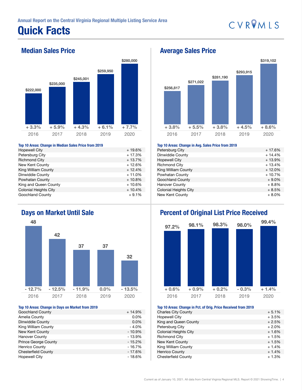## Quick Facts



### Median Sales Price



#### Top 10 Areas: Change in Median Sales Price from 2019

| <b>Hopewell City</b>         | $+19.6%$ |
|------------------------------|----------|
| Petersburg City              | $+17.3%$ |
| <b>Richmond City</b>         | $+13.7%$ |
| New Kent County              | $+12.6%$ |
| King William County          | $+12.4%$ |
| Dinwiddie County             | $+11.0%$ |
| Powhatan County              | $+10.8%$ |
| King and Queen County        | $+10.6%$ |
| <b>Colonial Heights City</b> | $+10.4%$ |
| <b>Goochland County</b>      | $+9.1%$  |

### Days on Market Until Sale



#### Top 10 Areas: Change in Days on Market from 2019

| <b>Goochland County</b>     | $+14.9%$ |
|-----------------------------|----------|
| Amelia County               | $0.0\%$  |
| Dinwiddie County            | $0.0\%$  |
| King William County         | $-4.0%$  |
| New Kent County             | $-10.9%$ |
| <b>Hanover County</b>       | - 13.9%  |
| <b>Prince George County</b> | $-15.2%$ |
| <b>Henrico County</b>       | $-16.7%$ |
| <b>Chesterfield County</b>  | - 17.6%  |
| <b>Hopewell City</b>        | - 18.6%  |

#### Average Sales Price



#### Top 10 Areas: Change in Avg. Sales Price from 2019

| 100 10 Arouo, 011ango in Arg. 0ano 11100 11011 2010 |          |
|-----------------------------------------------------|----------|
| Petersburg City                                     | $+17.6%$ |
| Dinwiddie County                                    | $+14.4%$ |
| <b>Hopewell City</b>                                | $+13.9%$ |
| <b>Richmond City</b>                                | $+13.4%$ |
| King William County                                 | $+12.0%$ |
| Powhatan County                                     | $+10.7%$ |
| <b>Goochland County</b>                             | $+9.0%$  |
| <b>Hanover County</b>                               | $+8.8%$  |
| <b>Colonial Heights City</b>                        | $+8.5%$  |
| New Kent County                                     | $+8.0\%$ |
|                                                     |          |

## Percent of Original List Price Received



#### Top 10 Areas: Change in Pct. of Orig. Price Received from 2019

| <b>Charles City County</b>   | $+5.1%$ |
|------------------------------|---------|
| <b>Hopewell City</b>         | $+3.5%$ |
| King and Queen County        | $+2.5%$ |
| Petersburg City              | $+2.0%$ |
| <b>Colonial Heights City</b> | $+1.6%$ |
| <b>Richmond City</b>         | $+1.5%$ |
| New Kent County              | $+1.5%$ |
| King William County          | $+1.4%$ |
| <b>Henrico County</b>        | $+1.4%$ |
| <b>Chesterfield County</b>   | $+1.3%$ |
|                              |         |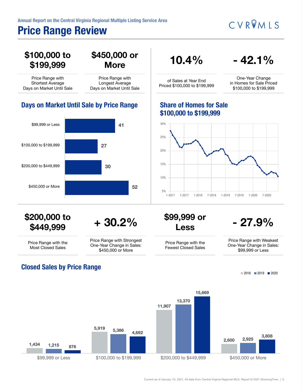### Price Range Review

CVROMLS



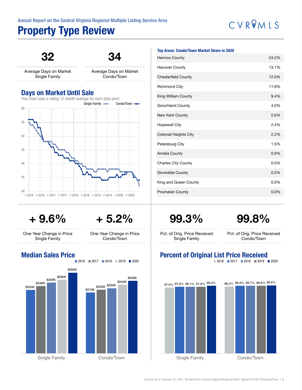## Property Type Review

# CVROMLS

32

34

Average Days on Market Single Family

Average Days on Market Condo/Town

### Days on Market Until Sale



#### Top Areas: Condo/Town Market Share in 2020

| <b>Henrico County</b>        | 24.2% |
|------------------------------|-------|
| <b>Hanover County</b>        | 13.1% |
| <b>Chesterfield County</b>   | 12.0% |
| <b>Richmond City</b>         | 11.9% |
| King William County          | 9.4%  |
| Goochland County             | 4.0%  |
| New Kent County              | 2.6%  |
| <b>Hopewell City</b>         | 2.4%  |
| <b>Colonial Heights City</b> | 2.2%  |
| Petersburg City              | 1.5%  |
| Amelia County                | 0.0%  |
| <b>Charles City County</b>   | 0.0%  |
| Dinwiddie County             | 0.0%  |
| King and Queen County        | 0.0%  |
| Powhatan County              | 0.0%  |

+ 9.6%

+ 5.2%

One-Year Change in Price Single Family

One-Year Change in Price Condo/Town

### Median Sales Price



99.3%

## 99.8%

Pct. of Orig. Price Received Single Family

Pct. of Orig. Price Received Condo/Town

### Percent of Original List Price Received

 $2016$  2017 2018 2019 2020

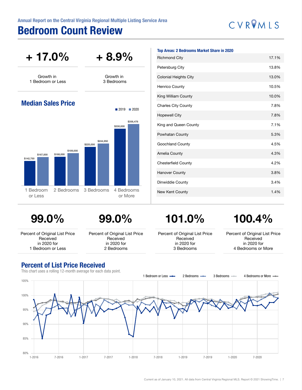### Bedroom Count Review

# CVROMLS



99.0%



Percent of Original List Price Received in 2020 for 1 Bedroom or Less

Percent of Original List Price Received in 2020 for 2 Bedrooms

101.0%

Percent of Original List Price Received in 2020 for 3 Bedrooms

## 100.4%

Percent of Original List Price Received in 2020 for 4 Bedrooms or More

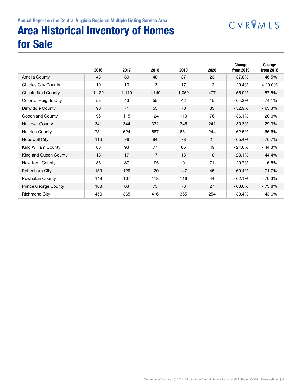## CVRVMLS

## Area Historical Inventory of Homes for Sale

|                              | 2016  | 2017  | 2018  | 2019  | 2020 | Change<br>from 2019 | Change<br>from 2016 |
|------------------------------|-------|-------|-------|-------|------|---------------------|---------------------|
| Amelia County                | 43    | 39    | 40    | 37    | 23   | $-37.8%$            | $-46.5%$            |
| <b>Charles City County</b>   | 10    | 10    | 13    | 17    | 12   | $-29.4%$            | $+20.0%$            |
| <b>Chesterfield County</b>   | 1,122 | 1,110 | 1,149 | 1,059 | 477  | $-55.0%$            | $-57.5%$            |
| <b>Colonial Heights City</b> | 58    | 43    | 55    | 42    | 15   | $-64.3%$            | $-74.1%$            |
| Dinwiddie County             | 90    | 71    | 53    | 70    | 33   | $-52.9%$            | $-63.3%$            |
| Goochland County             | 95    | 115   | 124   | 119   | 76   | $-36.1%$            | $-20.0\%$           |
| <b>Hanover County</b>        | 341   | 344   | 332   | 346   | 241  | $-30.3%$            | $-29.3%$            |
| Henrico County               | 731   | 624   | 687   | 651   | 244  | $-62.5%$            | $-66.6%$            |
| Hopewell City                | 116   | 76    | 94    | 78    | 27   | $-65.4%$            | $-76.7%$            |
| King William County          | 88    | 93    | 77    | 65    | 49   | $-24.6%$            | $-44.3%$            |
| King and Queen County        | 18    | 17    | 17    | 13    | 10   | $-23.1%$            | $-44.4%$            |
| New Kent County              | 85    | 87    | 105   | 101   | 71   | $-29.7%$            | $-16.5%$            |
| Petersburg City              | 159   | 129   | 120   | 147   | 45   | $-69.4%$            | $-71.7%$            |
| Powhatan County              | 148   | 107   | 118   | 116   | 44   | $-62.1%$            | $-70.3%$            |
| Prince George County         | 103   | 83    | 75    | 73    | 27   | $-63.0%$            | $-73.8%$            |
| <b>Richmond City</b>         | 450   | 365   | 416   | 365   | 254  | $-30.4%$            | $-43.6%$            |